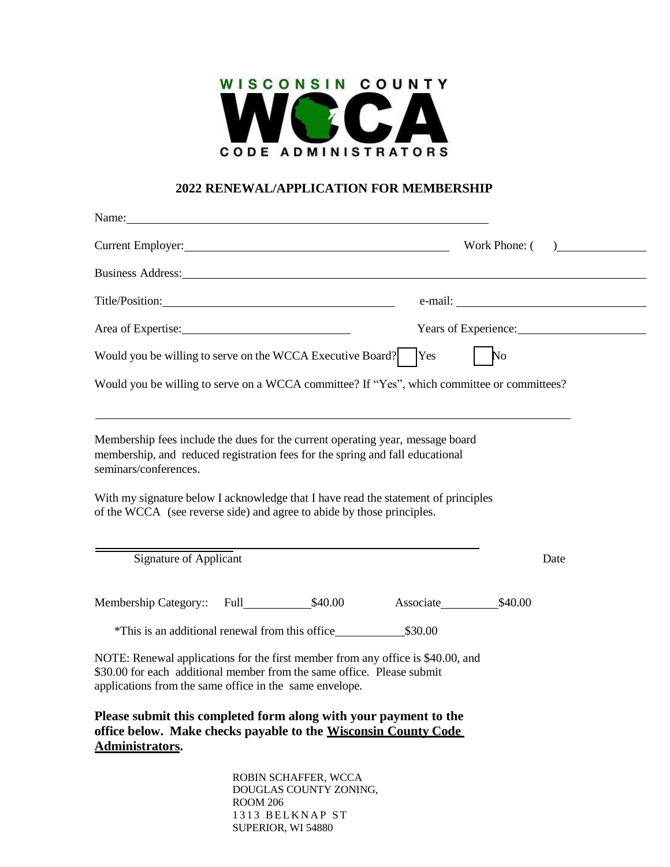

## **2022 RENEWAL/APPLICATION FOR MEMBERSHIP**

|                                                                                                                                                                                                                      |                                                |     | Current Employer: Work Phone: () |  |
|----------------------------------------------------------------------------------------------------------------------------------------------------------------------------------------------------------------------|------------------------------------------------|-----|----------------------------------|--|
| Business Address: New York 1988.                                                                                                                                                                                     |                                                |     |                                  |  |
|                                                                                                                                                                                                                      |                                                |     |                                  |  |
|                                                                                                                                                                                                                      |                                                |     | Years of Experience:             |  |
| Would you be willing to serve on the WCCA Executive Board?                                                                                                                                                           |                                                | Yes | N <sub>o</sub>                   |  |
| Would you be willing to serve on a WCCA committee? If "Yes", which committee or committees?                                                                                                                          |                                                |     |                                  |  |
| Membership fees include the dues for the current operating year, message board<br>membership, and reduced registration fees for the spring and fall educational<br>seminars/conferences.                             |                                                |     |                                  |  |
| With my signature below I acknowledge that I have read the statement of principles<br>of the WCCA (see reverse side) and agree to abide by those principles.                                                         |                                                |     |                                  |  |
| <b>Signature of Applicant</b>                                                                                                                                                                                        |                                                |     | Date                             |  |
|                                                                                                                                                                                                                      |                                                |     | Associate \$40.00                |  |
|                                                                                                                                                                                                                      |                                                |     |                                  |  |
| NOTE: Renewal applications for the first member from any office is \$40.00, and<br>\$30.00 for each additional member from the same office. Please submit<br>applications from the same office in the same envelope. |                                                |     |                                  |  |
| Please submit this completed form along with your payment to the<br>office below. Make checks payable to the Wisconsin County Code<br>Administrators.                                                                |                                                |     |                                  |  |
|                                                                                                                                                                                                                      | ROBIN SCHAFFER, WCCA<br>DOUGLAS COUNTY ZONING, |     |                                  |  |

ROOM 206 1313 BELKNAP ST SUPERIOR, WI 54880